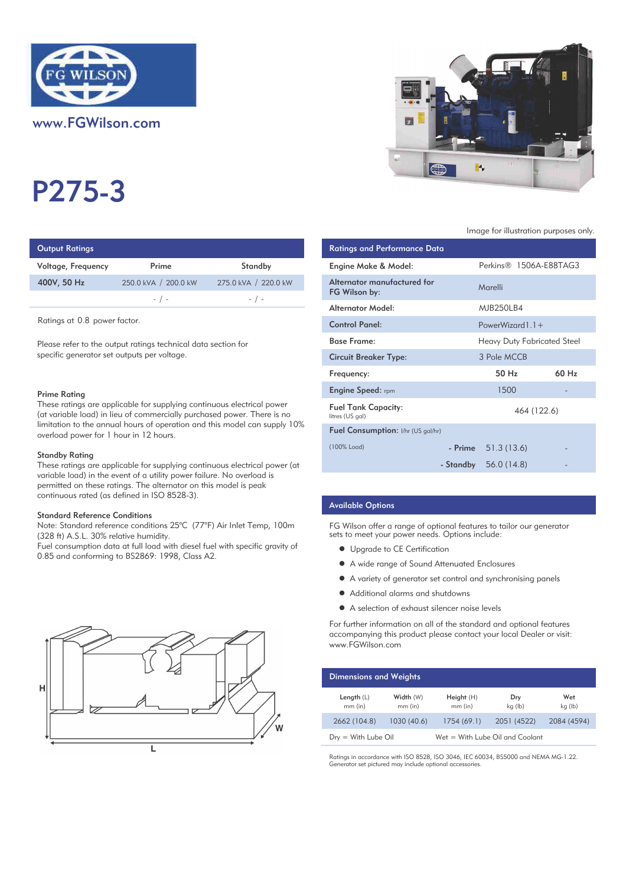

www.FGWilson.com

# P275-3

| Output Ratings     |                      |                      | <b>Ratings and Performance Data</b> |
|--------------------|----------------------|----------------------|-------------------------------------|
| Voltage, Frequency | Prime                | Standby              | Engine Make & Model:                |
| 400V, 50 Hz        | 250.0 kVA / 200.0 kW | 275.0 kVA / 220.0 kW | Alternator manufactured for         |
|                    | $-$ / $-$            | $-$ / $-$            | FG Wilson by:                       |
|                    |                      |                      | Altornator Modol.                   |

Ratings at 0.8 power factor.

Please refer to the output ratings technical data section for specific generator set outputs per voltage.

#### Prime Rating

These ratings are applicable for supplying continuous electrical power (at variable load) in lieu of commercially purchased power. There is no limitation to the annual hours of operation and this model can supply 10% overload power for 1 hour in 12 hours.

#### Standby Rating

These ratings are applicable for supplying continuous electrical power (at variable load) in the event of a utility power failure. No overload is permitted on these ratings. The alternator on this model is peak continuous rated (as defined in ISO 8528-3).

#### Standard Reference Conditions

Note: Standard reference conditions 25°C (77°F) Air Inlet Temp, 100m (328 ft) A.S.L. 30% relative humidity.

Fuel consumption data at full load with diesel fuel with specific gravity of 0.85 and conforming to BS2869: 1998, Class A2.





#### Image for illustration purposes only.

| <b>Ratings and Performance Data</b>           |                        |                             |       |
|-----------------------------------------------|------------------------|-----------------------------|-------|
| Engine Make & Model:                          |                        | Perkins® 1506A-E88TAG3      |       |
| Alternator manufactured for<br>FG Wilson by:  | Marelli                |                             |       |
| Alternator Model:                             | MJB250LB4              |                             |       |
| <b>Control Panel:</b>                         | PowerWizard $1.1 +$    |                             |       |
| <b>Base Frame:</b>                            |                        | Heavy Duty Fabricated Steel |       |
| <b>Circuit Breaker Type:</b>                  | 3 Pole MCCB            |                             |       |
| Frequency:                                    | 50 H <sub>z</sub>      |                             | 60 Hz |
| <b>Engine Speed:</b> rpm                      | 1500                   |                             |       |
| <b>Fuel Tank Capacity:</b><br>litres (US gal) |                        | 464 (122.6)                 |       |
| <b>Fuel Consumption:</b> I/hr (US gal/hr)     |                        |                             |       |
| (100% Load)                                   | $-$ Prime $51.3(13.6)$ |                             |       |
|                                               | - Standby $56.0(14.8)$ |                             |       |

## Available Options

FG Wilson offer a range of optional features to tailor our generator sets to meet your power needs. Options include:

- Upgrade to CE Certification
- $\bullet$  A wide range of Sound Attenuated Enclosures
- $\bullet$  A variety of generator set control and synchronising panels
- $\bullet$  Additional alarms and shutdowns
- A selection of exhaust silencer noise levels

For further information on all of the standard and optional features accompanying this product please contact your local Dealer or visit: www.FGWilson.com

| <b>Dimensions and Weights</b> |                        |                                 |                |                |
|-------------------------------|------------------------|---------------------------------|----------------|----------------|
| Length $(L)$<br>$mm$ (in)     | Width (W)<br>$mm$ (in) | Height (H)<br>$mm$ (in)         | Dry<br>kg (lb) | Wet<br>kg (lb) |
| 2662 (104.8)                  | 1030 (40.6)            | 1754(69.1)                      | 2051 (4522)    | 2084 (4594)    |
| $Dry = With Lube Oil$         |                        | Wet = With Lube Oil and Coolant |                |                |

Ratings in accordance with ISO 8528, ISO 3046, IEC 60034, BS5000 and NEMA MG-1.22. Generator set pictured may include optional accessories.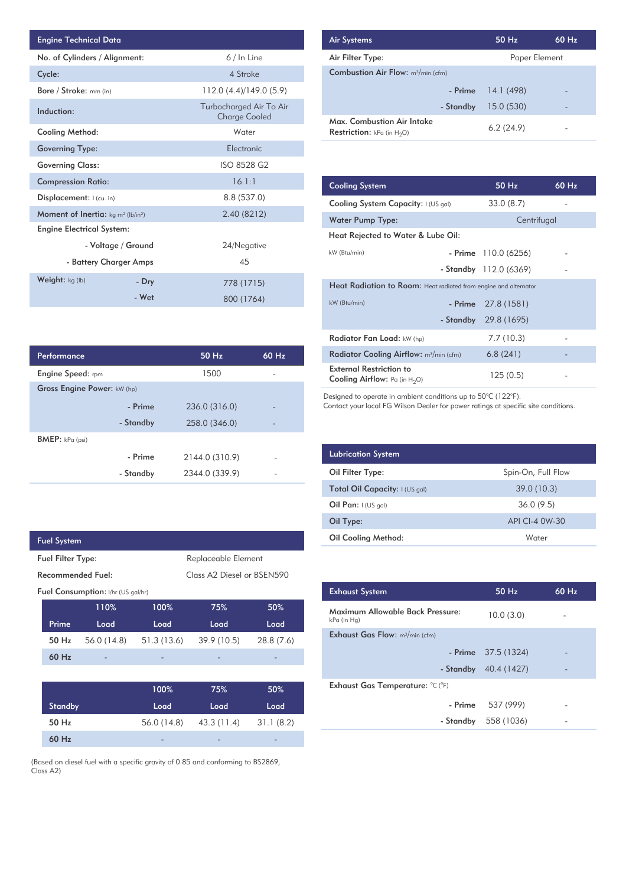| <b>Engine Technical Data</b>                       |                        |                                                 | <b>Air Systems</b>  |
|----------------------------------------------------|------------------------|-------------------------------------------------|---------------------|
| No. of Cylinders / Alignment:                      |                        | 6 / In Line                                     | Air Filter Ty       |
| Cycle:                                             |                        | 4 Stroke                                        | Combustion          |
| Bore / Stroke: mm (in)                             |                        | 112.0(4.4)/149.0(5.9)                           |                     |
| Induction:                                         |                        | Turbocharged Air To Air<br><b>Charge Cooled</b> | Max. Comb           |
| <b>Cooling Method:</b>                             |                        | Water                                           | <b>Restriction:</b> |
| <b>Governing Type:</b>                             |                        | Electronic                                      |                     |
| <b>Governing Class:</b>                            |                        | ISO 8528 G2                                     |                     |
| <b>Compression Ratio:</b>                          |                        | 16.1:1                                          | <b>Cooling Sys</b>  |
| Displacement:   (cu. in)                           |                        | 8.8 (537.0)                                     | <b>Cooling Sys</b>  |
| <b>Moment of Inertia:</b> $kg \, m^2 \, (lb/in^2)$ |                        | 2.40 (8212)                                     | <b>Water Pum</b>    |
| <b>Engine Electrical System:</b>                   |                        |                                                 | <b>Heat Reject</b>  |
|                                                    | - Voltage / Ground     | 24/Negative                                     |                     |
|                                                    | - Battery Charger Amps | 45                                              | kW (Btu/min)        |
| Weight: kg (lb)                                    | - Dry                  | 778 (1715)                                      | <b>Heat Radia</b>   |
|                                                    | - Wet                  | 800 (1764)                                      | $kW$ (Btu/min)      |

| <b>Air Systems</b>                                                 | 50 Hz         | $60$ Hz |
|--------------------------------------------------------------------|---------------|---------|
| Air Filter Type:                                                   | Paper Element |         |
| <b>Combustion Air Flow:</b> $m^3/m$ in (cfm)                       |               |         |
| - Prime                                                            | 14.1 (498)    |         |
| - Standby                                                          | 15.0(530)     |         |
| Max. Combustion Air Intake<br><b>Restriction:</b> kPa (in $H_2O$ ) | 6.2(24.9)     |         |

| 16.1:1         | <b>Cooling System</b>                                                     | 50 Hz                   | 60 Hz |  |  |
|----------------|---------------------------------------------------------------------------|-------------------------|-------|--|--|
| 8.8 (537.0)    | Cooling System Capacity: I (US gal)                                       | 33.0(8.7)               |       |  |  |
| 2.40 (8212)    | <b>Water Pump Type:</b>                                                   | Centrifugal             |       |  |  |
|                | Heat Rejected to Water & Lube Oil:                                        |                         |       |  |  |
| 24/Negative    | kW (Btu/min)                                                              | $-$ Prime $110.0(6256)$ |       |  |  |
| 45             |                                                                           | - Standby 112.0 (6369)  |       |  |  |
| 778 (1715)     | <b>Heat Radiation to Room:</b> Heat radiated from engine and alternator   |                         |       |  |  |
| 800 (1764)     | kW (Btu/min)<br>- Prime                                                   | 27.8 (1581)             |       |  |  |
|                | - Standby                                                                 | 29.8 (1695)             |       |  |  |
|                | Radiator Fan Load: kW (hp)                                                | 7.7(10.3)               |       |  |  |
| 60 Hz<br>50 Hz | Radiator Cooling Airflow: m <sup>3</sup> /min (cfm)                       | 6.8(241)                |       |  |  |
| 1500           | <b>External Restriction to</b><br><b>Cooling Airflow:</b> Pa (in $H_2O$ ) | 125 (0.5)               |       |  |  |

Designed to operate in ambient conditions up to 50°C (122°F).

Contact your local FG Wilson Dealer for power ratings at specific site conditions.

| <b>Lubrication System</b>      |                    |
|--------------------------------|--------------------|
| Oil Filter Type:               | Spin-On, Full Flow |
| Total Oil Capacity: I (US gal) | 39.0(10.3)         |
| Oil Pan: $(US gal)$            | 36.0(9.5)          |
| Oil Type:                      | API CI-4 0W-30     |
| <b>Oil Cooling Method:</b>     | Water              |

| <b>Exhaust System</b>                           | 50 Hz                | $60$ Hz |
|-------------------------------------------------|----------------------|---------|
| Maximum Allowable Back Pressure:<br>kPa (in Hg) | 10.0(3.0)            |         |
| <b>Exhaust Gas Flow:</b> $m^3/m$ in (cfm)       |                      |         |
|                                                 | - Prime $37.5(1324)$ |         |
| - Standby                                       | 40.4 (1427)          |         |
| Exhaust Gas Temperature: °C (°F)                |                      |         |
| - Prime                                         | 537 (999)            |         |
| - Standby                                       | 558 (1036)           |         |
|                                                 |                      |         |

| Performance                        |           | 50 Hz          | 60 Hz                    |
|------------------------------------|-----------|----------------|--------------------------|
| <b>Engine Speed:</b> rpm           |           | 1500           |                          |
| <b>Gross Engine Power: kW (hp)</b> |           |                |                          |
|                                    | - Prime   | 236.0 (316.0)  |                          |
|                                    | - Standby | 258.0 (346.0)  | $\overline{\phantom{0}}$ |
| <b>BMEP:</b> $kPa$ (psi)           |           |                |                          |
|                                    | - Prime   | 2144.0 (310.9) |                          |
|                                    | - Standby | 2344.0 (339.9) |                          |

| <b>Fuel System</b>       |                                           |             |                            |            |
|--------------------------|-------------------------------------------|-------------|----------------------------|------------|
| <b>Fuel Filter Type:</b> |                                           |             | Replaceable Element        |            |
| Recommended Fuel:        |                                           |             | Class A2 Diesel or BSEN590 |            |
|                          | <b>Fuel Consumption:</b> I/hr (US gal/hr) |             |                            |            |
|                          | 110%                                      | 100%        | 75%                        | 50%        |
| Prime                    | Load                                      | Load        | Load                       | Load       |
| 50 Hz                    | 56.0 (14.8)                               | 51.3 (13.6) | 39.9 (10.5)                | 28.8 (7.6) |
| 60 Hz                    |                                           |             |                            |            |
|                          |                                           |             |                            |            |
|                          |                                           | 100%        | 75%                        | 50%        |
| <b>Standby</b>           |                                           | Load        | Load                       | Load       |
| $50$ Hz                  |                                           | 56.0 (14.8) | 43.3 (11.4)                | 31.1(8.2)  |
| 60 H <sub>z</sub>        |                                           |             |                            |            |

(Based on diesel fuel with a specific gravity of 0.85 and conforming to BS2869, Class A2)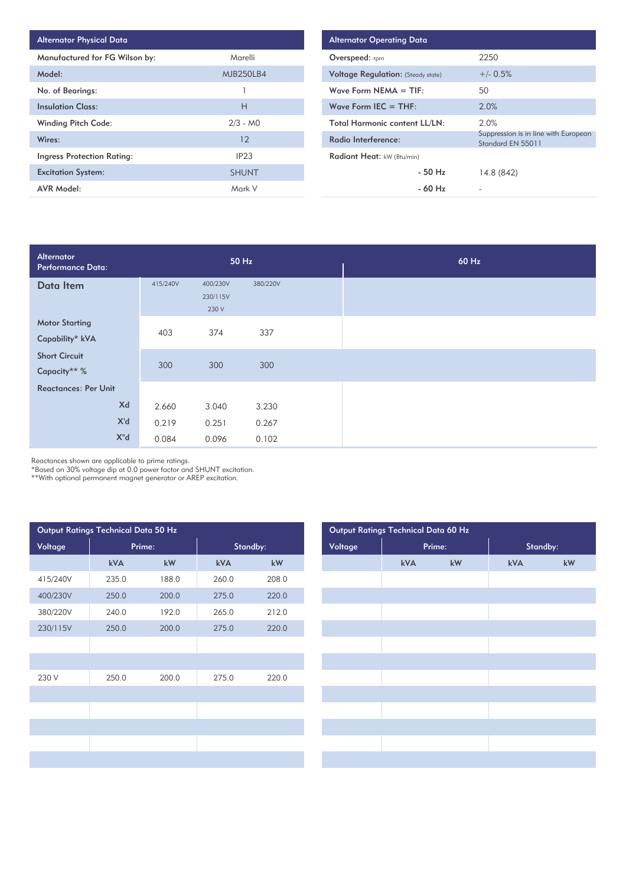| <b>Alternator Physical Data</b>   |                  |
|-----------------------------------|------------------|
| Manufactured for FG Wilson by:    | Marelli          |
| Model:                            | <b>MJB250LB4</b> |
| No. of Bearings:                  | 1                |
| <b>Insulation Class:</b>          | Н                |
| <b>Winding Pitch Code:</b>        | $2/3 - M0$       |
| Wires:                            | 12               |
| <b>Ingress Protection Rating:</b> | IP <sub>23</sub> |
| <b>Excitation System:</b>         | <b>SHUNT</b>     |
| <b>AVR Model:</b>                 | Mark V           |

| <b>Alternator Operating Data</b>          |                                                           |
|-------------------------------------------|-----------------------------------------------------------|
| Overspeed: rpm                            | 2250                                                      |
| <b>Voltage Regulation:</b> (Steady state) | $+/- 0.5%$                                                |
| Wave Form NEMA $=$ TIF:                   | 50                                                        |
| Wave Form IEC $=$ THF:                    | 2.0%                                                      |
| <b>Total Harmonic content LL/LN:</b>      | 2.0%                                                      |
| Radio Interference:                       | Suppression is in line with European<br>Standard EN 55011 |
| Radiant Heat: kW (Btu/min)                |                                                           |
| $-50$ H <sub>z</sub>                      | 14.8 (842)                                                |
| - 60 Hz                                   |                                                           |

| Alternator<br>Performance Data:          |          |                               | 50 Hz    |  | 60 Hz |
|------------------------------------------|----------|-------------------------------|----------|--|-------|
| Data Item                                | 415/240V | 400/230V<br>230/115V<br>230 V | 380/220V |  |       |
| <b>Motor Starting</b><br>Capability* kVA | 403      | 374                           | 337      |  |       |
| <b>Short Circuit</b><br>Capacity** %     | 300      | 300                           | 300      |  |       |
| <b>Reactances: Per Unit</b>              |          |                               |          |  |       |
| Xd                                       | 2.660    | 3.040                         | 3.230    |  |       |
| X'd                                      | 0.219    | 0.251                         | 0.267    |  |       |
| X"d                                      | 0.084    | 0.096                         | 0.102    |  |       |

Reactances shown are applicable to prime ratings.

\*Based on 30% voltage dip at 0.0 power factor and SHUNT excitation.

\*\*With optional permanent magnet generator or AREP excitation.

| Output Ratings Technical Data 50 Hz |                        |        |          |
|-------------------------------------|------------------------|--------|----------|
|                                     |                        |        | Standby: |
| kVA                                 | $\mathsf{k}\mathsf{W}$ | kVA    | kW       |
| 235.0                               | 188.0                  | 260.0  | 208.0    |
| 250.0                               | 200.0                  | 275.0  | 220.0    |
| 240.0                               | 192.0                  | 265.0  | 212.0    |
| 250.0                               | 200.0                  | 275.0  | 220.0    |
|                                     |                        |        |          |
|                                     |                        |        |          |
| 250.0                               | 200.0                  | 275.0  | 220.0    |
|                                     |                        |        |          |
|                                     |                        |        |          |
|                                     |                        |        |          |
|                                     |                        |        |          |
|                                     |                        |        |          |
|                                     |                        | Prime: |          |